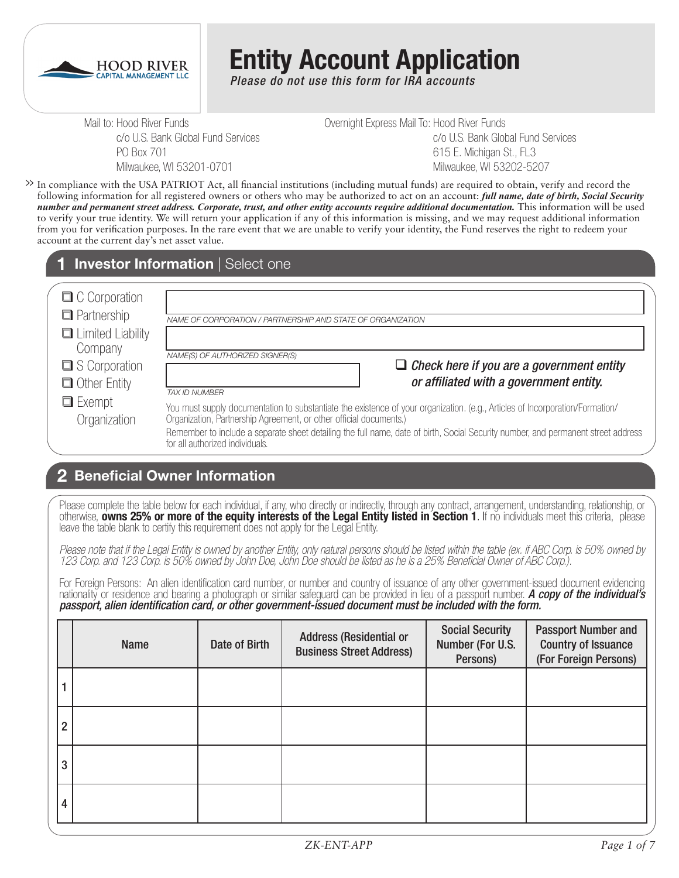

# **Entity Account Application**

*Please do not use this form for IRA accounts*

Mail to: Hood River Funds c/o U.S. Bank Global Fund Services PO Box 701 Milwaukee, WI 53201-0701

Overnight Express Mail To: Hood River Funds c/o U.S. Bank Global Fund Services 615 E. Michigan St., FL3 Milwaukee, WI 53202-5207

In compliance with the USA PATRIOT Act, all financial institutions (including mutual funds) are required to obtain, verify and record the **>>** following information for all registered owners or others who may be authorized to act on an account: *full name, date of birth, Social Security number and permanent street address. Corporate, trust, and other entity accounts require additional documentation.* This information will be used to verify your true identity. We will return your application if any of this information is missing, and we may request additional information from you for verification purposes. In the rare event that we are unable to verify your identity, the Fund reserves the right to redeem your account at the current day's net asset value.

#### **Investor Information** | Select one

| $\Box$ C Corporation                 |                                                                                                                                                                                                                                                                                                                                                                             |
|--------------------------------------|-----------------------------------------------------------------------------------------------------------------------------------------------------------------------------------------------------------------------------------------------------------------------------------------------------------------------------------------------------------------------------|
| $\Box$ Partnership                   | NAME OF CORPORATION / PARTNERSHIP AND STATE OF ORGANIZATION                                                                                                                                                                                                                                                                                                                 |
| Limited Liability<br>Company         |                                                                                                                                                                                                                                                                                                                                                                             |
| S Corporation<br><b>Other Entity</b> | NAME(S) OF AUTHORIZED SIGNER(S)<br>$\Box$ Check here if you are a government entity<br>or affiliated with a government entity.<br><b>TAX ID NUMBER</b>                                                                                                                                                                                                                      |
| $\Box$ Exempt<br>Organization        | You must supply documentation to substantiate the existence of your organization. (e.g., Articles of Incorporation/Formation/<br>Organization, Partnership Agreement, or other official documents.)<br>Remember to include a separate sheet detailing the full name, date of birth, Social Security number, and permanent street address<br>for all authorized individuals. |

### **Beneficial Owner Information 2**

Please complete the table below for each individual, if any, who directly or indirectly, through any contract, arrangement, understanding, relationship, or otherwise, **owns 25% or more of the equity interests of the Legal Entity listed in Section 1**. If no individuals meet this criteria, please leave the table blank to certify this requirement does not apply for the Legal Entity.

*Please note that if the Legal Entity is owned by another Entity, only natural persons should be listed within the table (ex. if ABC Corp. is 50% owned by 123 Corp. and 123 Corp. is 50% owned by John Doe, John Doe should be listed as he is a 25% Beneficial Owner of ABC Corp.).* 

For Foreign Persons: An alien identification card number, or number and country of issuance of any other government-issued document evidencing nationality or residence and bearing a photograph or similar safeguard can be provided in lieu of a passport number. *A copy of the individual's passport, alien identification card, or other government-issued document must be included with the form.* 

|                | <b>Name</b> | Date of Birth | <b>Address (Residential or</b><br><b>Business Street Address)</b> | <b>Social Security</b><br>Number (For U.S.<br>Persons) | <b>Passport Number and</b><br><b>Country of Issuance</b><br>(For Foreign Persons) |
|----------------|-------------|---------------|-------------------------------------------------------------------|--------------------------------------------------------|-----------------------------------------------------------------------------------|
|                |             |               |                                                                   |                                                        |                                                                                   |
| $\overline{2}$ |             |               |                                                                   |                                                        |                                                                                   |
| 3              |             |               |                                                                   |                                                        |                                                                                   |
| 4              |             |               |                                                                   |                                                        |                                                                                   |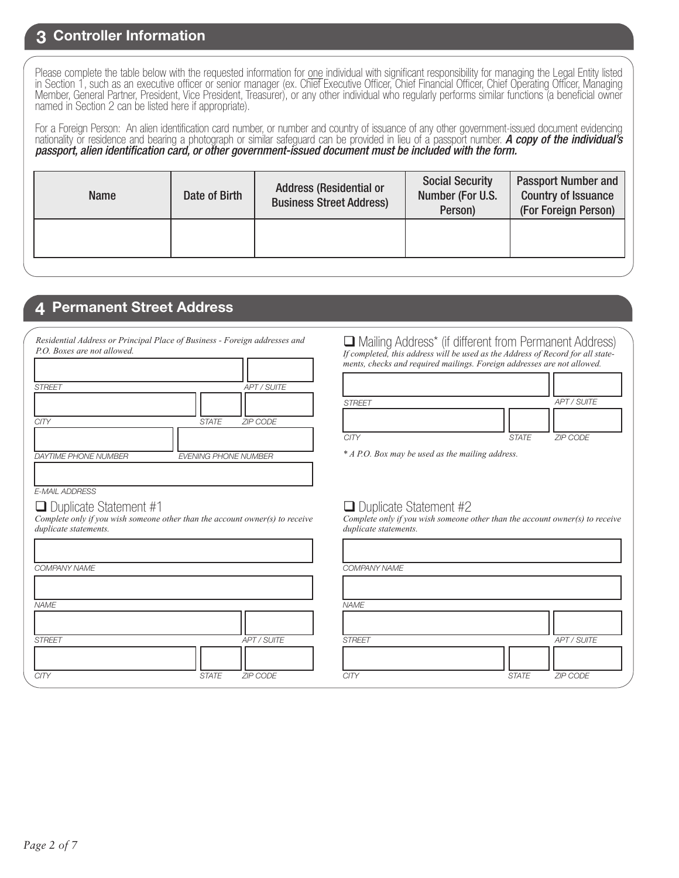#### **3 Controller Information**

Please complete the table below with the requested information for one individual with significant responsibility for managing the Legal Entity listed in Section 1, such as an executive officer or senior manager (ex. Chief Executive Officer, Chief Financial Officer, Chief Operating Officer, Managing Member, General Partner, President, Vice President, Treasurer), or any other individual who regularly performs similar functions (a beneficial owner named in Section 2 can be listed here if appropriate).

For a Foreign Person: An alien identification card number, or number and country of issuance of any other government-issued document evidencing nationality or residence and bearing a photograph or similar safeguard can be provided in lieu of a passport number. *A copy of the individual's passport, alien identification card, or other government-issued document must be included with the form.* 

| <b>Name</b> | Date of Birth | <b>Address (Residential or</b><br><b>Business Street Address)</b> | <b>Social Security</b><br>Number (For U.S.<br>Person) | <b>Passport Number and</b><br><b>Country of Issuance</b><br>(For Foreign Person) |
|-------------|---------------|-------------------------------------------------------------------|-------------------------------------------------------|----------------------------------------------------------------------------------|
|             |               |                                                                   |                                                       |                                                                                  |

#### **4 Permanent Street Address**

| <b>APT / SUITE</b>          |
|-----------------------------|
|                             |
|                             |
|                             |
|                             |
|                             |
|                             |
|                             |
| <b>ZIP CODE</b>             |
|                             |
|                             |
|                             |
| <b>EVENING PHONE NUMBER</b> |
|                             |
|                             |
| <b>STATE</b>                |

*E-MAIL ADDRESS*

#### $\Box$  Duplicate Statement #1

*Complete only if you wish someone other than the account owner(s) to receive duplicate statements.*

| COMPANY NAME  |              |             | <b>COMPA</b>  |  |
|---------------|--------------|-------------|---------------|--|
|               |              |             |               |  |
| <b>NAME</b>   |              |             | <b>NAME</b>   |  |
|               |              |             |               |  |
| <b>STREET</b> |              | APT / SUITE | <b>STREET</b> |  |
|               |              |             |               |  |
| <b>CITY</b>   | <b>STATE</b> | ZIP CODE    | <b>CITY</b>   |  |

 Mailing Address\* (if different from Permanent Address) *If completed, this address will be used as the Address of Record for all statements, checks and required mailings. Foreign addresses are not allowed.*

| <b>STREET</b> |              | APT / SUITE |
|---------------|--------------|-------------|
|               |              |             |
| <b>CITY</b>   | <b>STATE</b> | ZIP CODE    |

*\* A P.O. Box may be used as the mailing address.*

#### $\Box$  Duplicate Statement #2

*Complete only if you wish someone other than the account owner(s) to receive duplicate statements.*

|              |             | COMPANY NAME  |              |             |
|--------------|-------------|---------------|--------------|-------------|
|              |             |               |              |             |
|              |             | <b>NAME</b>   |              |             |
|              |             |               |              |             |
|              | APT / SUITE | <b>STREET</b> |              | APT / SUITE |
|              |             |               |              |             |
| <b>STATE</b> | ZIP CODE    | <b>CITY</b>   | <b>STATE</b> | ZIP CODE    |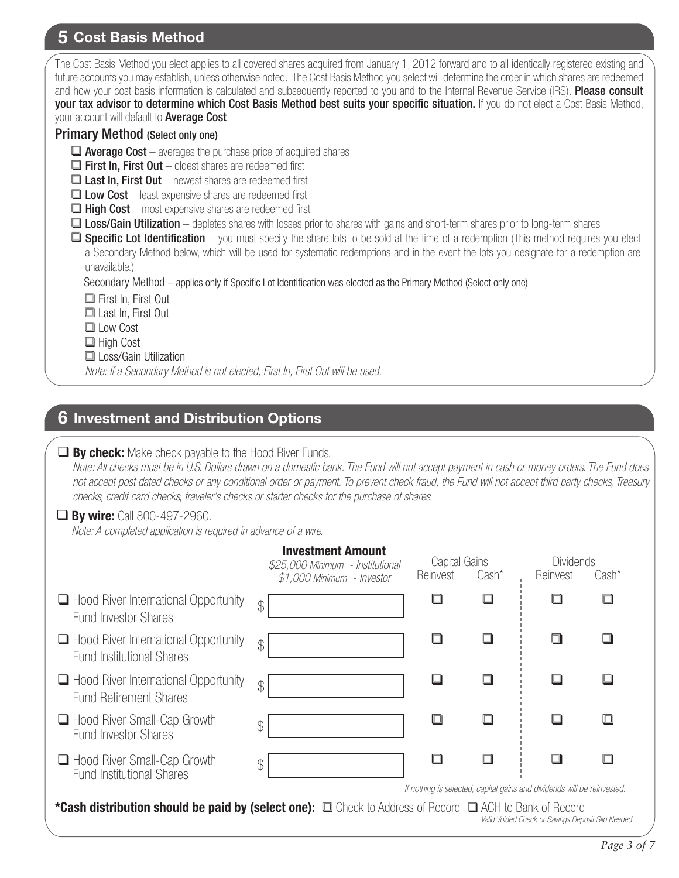# **5 Cost Basis Method**

| The Cost Basis Method you elect applies to all covered shares acquired from January 1, 2012 forward and to all identically registered existing and<br>future accounts you may establish, unless otherwise noted. The Cost Basis Method you select will determine the order in which shares are redeemed<br>and how your cost basis information is calculated and subsequently reported to you and to the Internal Revenue Service (IRS). Please consult<br>your tax advisor to determine which Cost Basis Method best suits your specific situation. If you do not elect a Cost Basis Method,<br>your account will default to Average Cost.<br><b>Primary Method (Select only one)</b><br>$\Box$ Average Cost – averages the purchase price of acquired shares<br>$\Box$ First In, First Out – oldest shares are redeemed first<br>$\Box$ Last In, First Out – newest shares are redeemed first<br>$\Box$ Low Cost – least expensive shares are redeemed first<br>$\Box$ High Cost – most expensive shares are redeemed first<br>□ Loss/Gain Utilization – depletes shares with losses prior to shares with gains and short-term shares prior to long-term shares<br>$\Box$ Specific Lot Identification – you must specify the share lots to be sold at the time of a redemption (This method requires you elect<br>a Secondary Method below, which will be used for systematic redemptions and in the event the lots you designate for a redemption are<br>unavailable.)<br>Secondary Method - applies only if Specific Lot Identification was elected as the Primary Method (Select only one)<br>$\Box$ First In, First Out<br>$\Box$ Last In, First Out<br>$\Box$ Low Cost<br>$\Box$ High Cost<br>Loss/Gain Utilization<br>Note: If a Secondary Method is not elected, First In, First Out will be used. |                                                                                            |                           |        |                              |        |  |
|-------------------------------------------------------------------------------------------------------------------------------------------------------------------------------------------------------------------------------------------------------------------------------------------------------------------------------------------------------------------------------------------------------------------------------------------------------------------------------------------------------------------------------------------------------------------------------------------------------------------------------------------------------------------------------------------------------------------------------------------------------------------------------------------------------------------------------------------------------------------------------------------------------------------------------------------------------------------------------------------------------------------------------------------------------------------------------------------------------------------------------------------------------------------------------------------------------------------------------------------------------------------------------------------------------------------------------------------------------------------------------------------------------------------------------------------------------------------------------------------------------------------------------------------------------------------------------------------------------------------------------------------------------------------------------------------------------------------------------------------------------------------------------------------------------------|--------------------------------------------------------------------------------------------|---------------------------|--------|------------------------------|--------|--|
| <b>6 Investment and Distribution Options</b>                                                                                                                                                                                                                                                                                                                                                                                                                                                                                                                                                                                                                                                                                                                                                                                                                                                                                                                                                                                                                                                                                                                                                                                                                                                                                                                                                                                                                                                                                                                                                                                                                                                                                                                                                                |                                                                                            |                           |        |                              |        |  |
| $\Box$ By check: Make check payable to the Hood River Funds.<br>Note: All checks must be in U.S. Dollars drawn on a domestic bank. The Fund will not accept payment in cash or money orders. The Fund does<br>not accept post dated checks or any conditional order or payment. To prevent check fraud, the Fund will not accept third party checks, Treasury<br>checks, credit card checks, traveler's checks or starter checks for the purchase of shares.<br>$\Box$ By wire: Call 800-497-2960.<br>Note: A completed application is required in advance of a wire.                                                                                                                                                                                                                                                                                                                                                                                                                                                                                                                                                                                                                                                                                                                                                                                                                                                                                                                                                                                                                                                                                                                                                                                                                                       |                                                                                            |                           |        |                              |        |  |
|                                                                                                                                                                                                                                                                                                                                                                                                                                                                                                                                                                                                                                                                                                                                                                                                                                                                                                                                                                                                                                                                                                                                                                                                                                                                                                                                                                                                                                                                                                                                                                                                                                                                                                                                                                                                             | <b>Investment Amount</b><br>\$25,000 Minimum - Institutional<br>\$1,000 Minimum - Investor | Capital Gains<br>Reinvest | Cash*  | <b>Dividends</b><br>Reinvest | Cash*  |  |
| $\Box$ Hood River International Opportunity<br><b>Fund Investor Shares</b>                                                                                                                                                                                                                                                                                                                                                                                                                                                                                                                                                                                                                                                                                                                                                                                                                                                                                                                                                                                                                                                                                                                                                                                                                                                                                                                                                                                                                                                                                                                                                                                                                                                                                                                                  | $\mathcal{P}$                                                                              | $\Box$                    | $\Box$ | □                            | $\Box$ |  |
| $\Box$ Hood River International Opportunity<br><b>Fund Institutional Shares</b>                                                                                                                                                                                                                                                                                                                                                                                                                                                                                                                                                                                                                                                                                                                                                                                                                                                                                                                                                                                                                                                                                                                                                                                                                                                                                                                                                                                                                                                                                                                                                                                                                                                                                                                             | \$                                                                                         | ❏                         | ш      |                              | $\Box$ |  |
| $\Box$ Hood River International Opportunity<br><b>Fund Retirement Shares</b>                                                                                                                                                                                                                                                                                                                                                                                                                                                                                                                                                                                                                                                                                                                                                                                                                                                                                                                                                                                                                                                                                                                                                                                                                                                                                                                                                                                                                                                                                                                                                                                                                                                                                                                                | \$                                                                                         | ❏                         | □      | ப                            |        |  |

|  | □ Hood River Small-Cap Growth |  |
|--|-------------------------------|--|
|  | <b>Fund Investor Shares</b>   |  |

|  |                                  |  | □ Hood River Small-Cap Growth |
|--|----------------------------------|--|-------------------------------|
|  | <b>Fund Institutional Shares</b> |  |                               |

| If nothing is selected, capital gains and dividends will be reinvested. |  |  |  |  |  |  |  |
|-------------------------------------------------------------------------|--|--|--|--|--|--|--|
|-------------------------------------------------------------------------|--|--|--|--|--|--|--|

\*Cash distribution should be paid by (select one):  $\Box$  Check to Address of Record  $\Box$  ACH to Bank of Record *Valid Voided Check or Savings Deposit Slip Needed*

 $\mathcal{L}$ 

 $\mathcal{L}$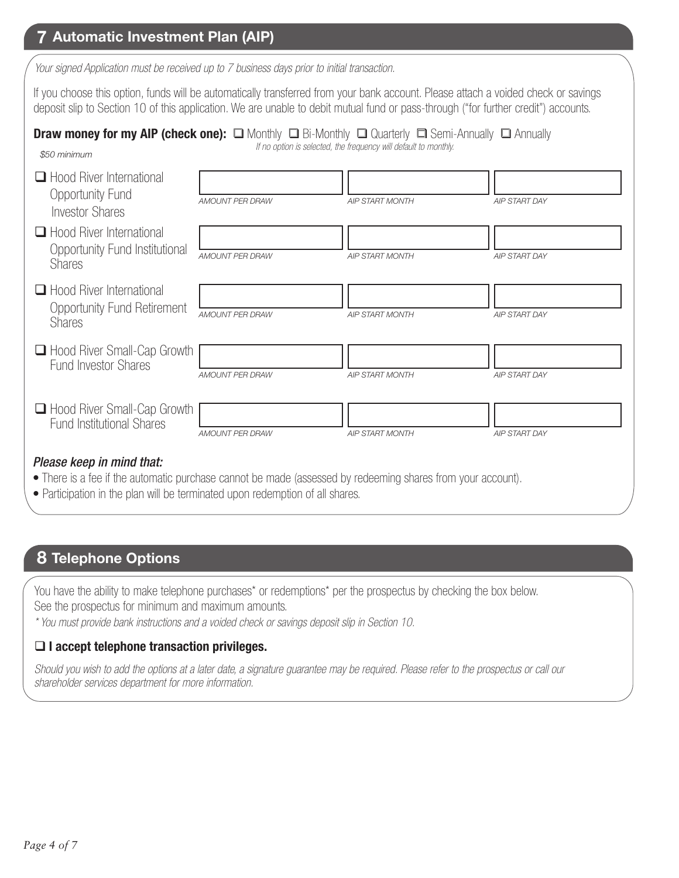### **7 Automatic Investment Plan (AIP)**

*Your signed Application must be received up to 7 business days prior to initial transaction.*

If you choose this option, funds will be automatically transferred from your bank account. Please attach a voided check or savings deposit slip to Section 10 of this application. We are unable to debit mutual fund or pass-through ("for further credit") accounts.

# **Draw money for my AIP (check one):**  $\Box$  Monthly  $\Box$  Bi-Monthly  $\Box$  Quarterly  $\Box$  Semi-Annually  $\Box$  Annually

*\$50 minimum*

| Hood River International |  |
|--------------------------|--|
| <b>Opportunity Fund</b>  |  |
| <b>Investor Shares</b>   |  |

- $\Box$  Ho Opportunity Fund Institutional  $S$
- $\Box$  Ho Opportunity Fund Retirement
- $\Box$  He Fund Investor Shares
- $\Box$  Hood River Small Fund Institutional Shares

*If no option is selected, the frequency will default to monthly.*

| $\Box$ Hood River International<br>Opportunity Fund<br><b>Investor Shares</b>                                                            | <b>AMOUNT PER DRAW</b> | <b>AIP START MONTH</b> | <b>AIP START DAY</b> |
|------------------------------------------------------------------------------------------------------------------------------------------|------------------------|------------------------|----------------------|
| $\Box$ Hood River International<br>Opportunity Fund Institutional<br><b>Shares</b>                                                       | <b>AMOUNT PER DRAW</b> | <b>AIP START MONTH</b> | <b>AIP START DAY</b> |
| Hood River International<br><b>Opportunity Fund Retirement</b><br><b>Shares</b>                                                          | <b>AMOUNT PER DRAW</b> | <b>AIP START MONTH</b> | <b>AIP START DAY</b> |
| □ Hood River Small-Cap Growth<br><b>Fund Investor Shares</b>                                                                             | <b>AMOUNT PER DRAW</b> | <b>AIP START MONTH</b> | <b>AIP START DAY</b> |
| □ Hood River Small-Cap Growth<br><b>Fund Institutional Shares</b>                                                                        | <b>AMOUNT PER DRAW</b> | <b>AIP START MONTH</b> | <b>AIP START DAY</b> |
| Please keep in mind that:<br>• There is a fee if the automatic purchase cannot be made (assessed by redeeming shares from your account). |                        |                        |                      |

• Participation in the plan will be terminated upon redemption of all shares.

#### **8 Telephone Options**

You have the ability to make telephone purchases\* or redemptions\* per the prospectus by checking the box below. See the prospectus for minimum and maximum amounts. *\* You must provide bank instructions and a voided check or savings deposit slip in Section 10.* 

#### **I accept telephone transaction privileges.**

*Should you wish to add the options at a later date, a signature guarantee may be required. Please refer to the prospectus or call our shareholder services department for more information.*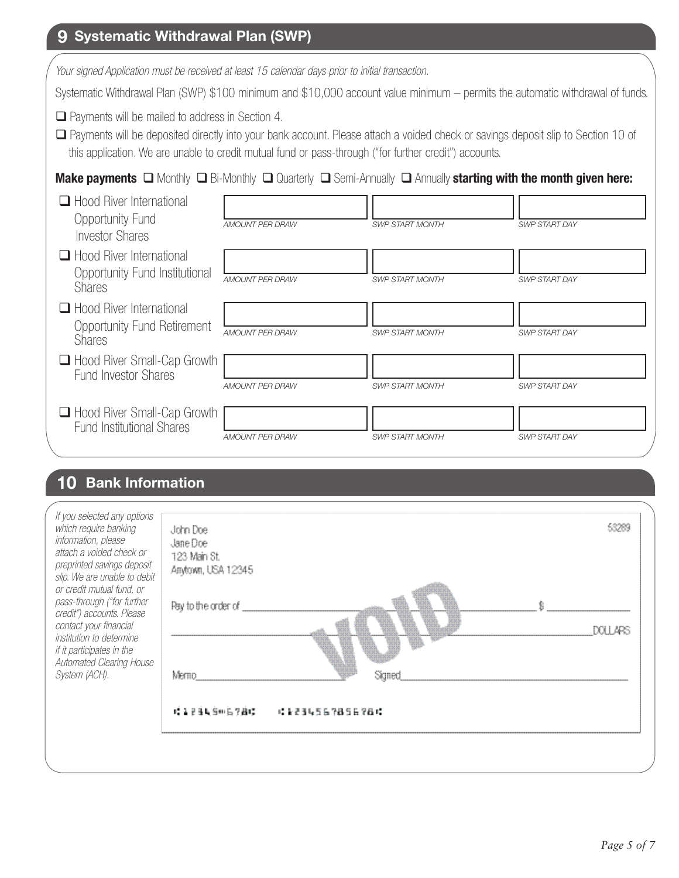## **9 Systematic Withdrawal Plan (SWP)**

*Your signed Application must be received at least 15 calendar days prior to initial transaction.*

Systematic Withdrawal Plan (SWP) \$100 minimum and \$10,000 account value minimum – permits the automatic withdrawal of funds.

 $\Box$  Payments will be mailed to address in Section 4.

 Payments will be deposited directly into your bank account. Please attach a voided check or savings deposit slip to Section 10 of this application. We are unable to credit mutual fund or pass-through ("for further credit") accounts.

#### **Make payments**  Monthly **Q** Bi-Monthly **Q** Quarterly **Q** Semi-Annually **Q** Annually **starting with the month given here:**

| $\Box$ Hood River International<br>Opportunity Fund<br><b>Investor Shares</b>          | <b>AMOUNT PER DRAW</b> | <b>SWP START MONTH</b> | <b>SWP START DAY</b> |
|----------------------------------------------------------------------------------------|------------------------|------------------------|----------------------|
| $\Box$ Hood River International<br>Opportunity Fund Institutional<br><b>Shares</b>     | <b>AMOUNT PER DRAW</b> | <b>SWP START MONTH</b> | <b>SWP START DAY</b> |
| $\Box$ Hood River International<br><b>Opportunity Fund Retirement</b><br><b>Shares</b> | <b>AMOUNT PER DRAW</b> | <b>SWP START MONTH</b> | <b>SWP START DAY</b> |
| □ Hood River Small-Cap Growth<br><b>Fund Investor Shares</b>                           | <b>AMOUNT PER DRAW</b> | <b>SWP START MONTH</b> | <b>SWP START DAY</b> |
| □ Hood River Small-Cap Growth<br><b>Fund Institutional Shares</b>                      | AMOUNT PER DRAW        | <b>SWP START MONTH</b> | <b>SWP START DAY</b> |

#### **10 Bank Information**

| attach a voided check or<br>preprinted savings deposit<br>slip. We are unable to debit<br>or credit mutual fund, or<br>pass-through ("for further<br>credit") accounts. Please<br>contact your financial<br>institution to determine<br>if it participates in the<br>Automated Clearing House<br>System (ACH). | 123 Main St.<br>Anytown, USA 12345<br>Pay to the order of<br>Merno | Sianed          | XXII 485 |  |
|----------------------------------------------------------------------------------------------------------------------------------------------------------------------------------------------------------------------------------------------------------------------------------------------------------------|--------------------------------------------------------------------|-----------------|----------|--|
|                                                                                                                                                                                                                                                                                                                | (美国首席官师后学道)。                                                       | : 1234567856784 |          |  |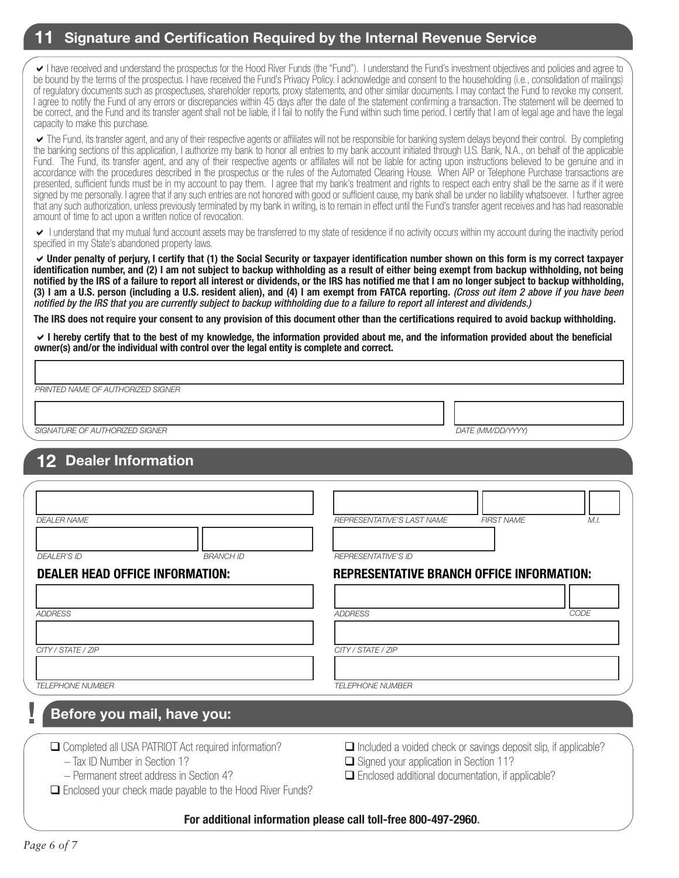#### **11 Signature and Certification Required by the Internal Revenue Service**

I have received and understand the prospectus for the Hood River Funds (the "Fund"). I understand the Fund's investment objectives and policies and agree to be bound by the terms of the prospectus. I have received the Fund's Privacy Policy. I acknowledge and consent to the householding (i.e., consolidation of mailings) of regulatory documents such as prospectuses, shareholder reports, proxy statements, and other similar documents. I may contact the Fund to revoke my consent. I agree to notify the Fund of any errors or discrepancies within 45 days after the date of the statement confirming a transaction. The statement will be deemed to be correct, and the Fund and its transfer agent shall not be liable, if I fail to notify the Fund within such time period. I certify that I am of legal age and have the legal capacity to make this purchase.

The Fund, its transfer agent, and any of their respective agents or affiliates will not be responsible for banking system delays beyond their control. By completing the banking sections of this application, I authorize my bank to honor all entries to my bank account initiated through U.S. Bank, N.A., on behalf of the applicable Fund. The Fund, its transfer agent, and any of their respective agents or affiliates will not be liable for acting upon instructions believed to be genuine and in accordance with the procedures described in the prospectus or the rules of the Automated Clearing House. When AIP or Telephone Purchase transactions are presented, sufficient funds must be in my account to pay them. I agree that my bank's treatment and rights to respect each entry shall be the same as if it were signed by me personally. I agree that if any such entries are not honored with good or sufficient cause, my bank shall be under no liability whatsoever. I further agree that any such authorization, unless previously terminated by my bank in writing, is to remain in effect until the Fund's transfer agent receives and has had reasonable amount of time to act upon a written notice of revocation.

I understand that my mutual fund account assets may be transferred to my state of residence if no activity occurs within my account during the inactivity period specified in my State's abandoned property laws.

**Under penalty of perjury, I certify that (1) the Social Security or taxpayer identification number shown on this form is my correct taxpayer identification number, and (2) I am not subject to backup withholding as a result of either being exempt from backup withholding, not being notified by the IRS of a failure to report all interest or dividends, or the IRS has notified me that I am no longer subject to backup withholding, (3) I am a U.S. person (including a U.S. resident alien), and (4) I am exempt from FATCA reporting.** *(Cross out item 2 above if you have been notified by the IRS that you are currently subject to backup withholding due to a failure to report all interest and dividends.)*

**The IRS does not require your consent to any provision of this document other than the certifications required to avoid backup withholding.**

**I hereby certify that to the best of my knowledge, the information provided about me, and the information provided about the beneficial owner(s) and/or the individual with control over the legal entity is complete and correct.** 

*PRINTED NAME OF AUTHORIZED SIGNER*

*SIGNATURE OF AUTHORIZED SIGNER DATE (MM/DD/YYYY)*

#### **12 Dealer Information**

| <b>DEALER NAME</b>                                                                                                                                                                                     |                  | REPRESENTATIVE'S LAST NAME                                                                                                                                                          | <b>FIRST NAME</b> | M.I. |
|--------------------------------------------------------------------------------------------------------------------------------------------------------------------------------------------------------|------------------|-------------------------------------------------------------------------------------------------------------------------------------------------------------------------------------|-------------------|------|
|                                                                                                                                                                                                        |                  |                                                                                                                                                                                     |                   |      |
| <b>DEALER'S ID</b>                                                                                                                                                                                     | <b>BRANCH ID</b> | <b>REPRESENTATIVE'S ID</b>                                                                                                                                                          |                   |      |
| <b>DEALER HEAD OFFICE INFORMATION:</b>                                                                                                                                                                 |                  | <b>REPRESENTATIVE BRANCH OFFICE INFORMATION:</b>                                                                                                                                    |                   |      |
| <b>ADDRESS</b>                                                                                                                                                                                         |                  | <b>ADDRESS</b>                                                                                                                                                                      |                   | CODE |
| CITY / STATE / ZIP                                                                                                                                                                                     |                  | CITY / STATE / ZIP                                                                                                                                                                  |                   |      |
| <b>TELEPHONE NUMBER</b>                                                                                                                                                                                |                  | <b>TELEPHONE NUMBER</b>                                                                                                                                                             |                   |      |
| Before you mail, have you:                                                                                                                                                                             |                  |                                                                                                                                                                                     |                   |      |
| □ Completed all USA PATRIOT Act required information?<br>- Tax ID Number in Section 1?<br>- Permanent street address in Section 4?<br>$\Box$ Enclosed your check made payable to the Hood River Funds? |                  | $\Box$ Included a voided check or savings deposit slip, if applicable?<br>$\Box$ Signed your application in Section 11?<br>$\Box$ Enclosed additional documentation, if applicable? |                   |      |
|                                                                                                                                                                                                        |                  | For additional information please call toll-free 800-497-2960.                                                                                                                      |                   |      |